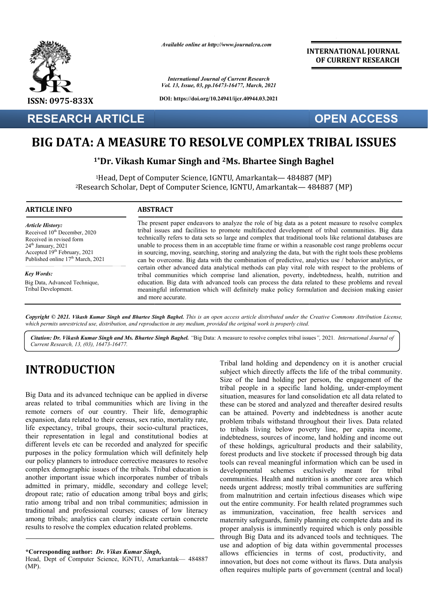

**RESEARCH ARTICLE**

*Available online at http://www.journalcra.com*

*International Journal of Current Research Vol. 13, Issue, 03, pp.16473-16477, March, 2021*

**DOI: https://doi.org/10.24941/ijcr.40944.03.2021**

**INTERNATIONAL JOURNAL OF CURRENT RESEARCH**

**OPEN ACCESS**

# **BIG DATA: A MEASURE TO RESOLVE COMPLEX TRIBAL ISSUES**<br><sup>1\*</sup>Dr. Vikash Kumar Singh and <sup>2</sup>Ms. Bhartee Singh Baghel

### **1\*Dr. Vikash Kumar Singh and 2Ms. Bhartee Singh Baghel**

<sup>1</sup>Head, Dept of Computer Science, IGNTU, Amarkantak— 484887 (MP) <sup>2</sup>Research Scholar, Dept of Computer Science, IGNTU, Amarkantak— 484887 (MP)

#### **ARTICLE INFO ABSTRACT**

*Article History:* Received 10<sup>th</sup> December, 2020 Received in revised form Received in revised form  $24<sup>th</sup>$  January,  $2021$ Accepted  $19<sup>th</sup>$  February, 2021 Published online  $17<sup>th</sup>$  March, 2021

*Key Words: Key Words:* Big Data, Advanced Technique, Tribal Development. The present paper endeavors to analyze the role of big data as a potent measure to resolve complex The present paper endeavors to analyze the role of big data as a potent measure to resolve complex tribal issues and facilities to promote multifaceted development of tribal communities. Big data technically refers to data sets so large and complex that traditional tools like relational databases are unable to process them in an acceptable time frame or within a reasonable cost range problems occur in sourcing, moving, searching, storing and analyzing the data, but with the right tools these problems can be overcome. Big data with the combination of predictive, analytics use / behavior analytics, or certain other advanced data analytical methods can play vital role with respect to the problems of tribal communities which comprise land alienation, poverty, indebtedness, health, nutrition and education. Big data with advanced tools can process the data related to these problems and reveal tribal communities which comprise land alienation, poverty, indebtedness, health, nutrition and education. Big data with advanced tools can process the data related to these problems and reveal meaningful information which and more accurate. technically refers to data sets so large and complex that traditional tools like relational databases are unable to process them in an acceptable time frame or within a reasonable cost range problems occur in sourcing, mov

Copyright © 2021. Vikash Kumar Singh and Bhartee Singh Baghel. This is an open access article distributed under the Creative Commons Attribution License, which permits unrestricted use, distribution, and reproduction in any medium, provided the original work is properly cited.

Citation: Dr. Vikash Kumar Singh and Ms. Bhartee Singh Baghel. "Big Data: A measure to resolve complex tribal issues", 2021. International Journal of *Current Research, 13, (03), 16473-16477.*

## **INTRODUCTION**

Big Data and its advanced technique can be applied in diverse areas related to tribal communities which are living in the remote corners of our country. Their life, demographic expansion, data related to their census, sex ratio, mortality rate, life expectancy, tribal groups, their socio-cultural practices, their representation in legal and constitutional bodies at different levels etc can be recorded and analyzed for specific purposes in the policy formulation which will definitely help our policy planners to introduce corrective measures to resolve complex demographic issues of the tribals. Tribal education is another important issue which incorporates number of tribals admitted in primary, middle, secondary and college level; dropout rate; ratio of education among tribal boys and girls; ratio among tribal and non tribal communities; admission in traditional and professional courses; causes of low literacy among tribals; analytics can clearly indicate certain concrete results to resolve the complex education related problems. ion among tribal boys and girls;<br>tribal communities; admission in<br>courses; causes of low literacy<br>clearly indicate certain concrete<br>education related problems.<br> $\frac{d}{dx}$ <br> $\frac{d}{dx}$ <br> $\frac{d}{dx}$ <br> $\frac{d}{dx}$ <br> $\frac{d}{dx}$ <br> $\frac{d}{dx}$ <br> $\$  Tribal land holding and dependency on it is another crucial Tribal land holding and dependency on it is another crucial subject which directly affects the life of the tribal community. Size of the land holding per person, the engagement of the Size of the land holding per person, the engagement of the tribal people in a specific land holding, under-employment situation, measures for land consolidation etc all data related to situation, measures for land consolidation etc all data related to these can be stored and analyzed and thereafter desired results can be attained. Poverty and indebtedness is another acute problem tribals withstand throughout their lives. Data related to tribals living below poverty line, per capita income, indebtedness, sources of income, land holding and income out of these holdings, agricultural products and their salability, forest products and live stocketc if processed through big data tools can reveal meaningful information which can be used in developmental schemes exclusively meant for tribal communities. Health and nutrition is another core area which needs urgent address; mostly tribal communities are suffering from malnutrition and certain infectious diseases which wipe out the entire community. For health related programmes such as immunization, vaccination, free health maternity safeguards, family planning etc complete data and its proper analysis is imminently required which is only possible through Big Data and its advanced tools and techniques. use and adoption of big data within governmental processes allows efficiencies in terms of cost, productivity, and innovation, but does not come without its flaws. Data analysis often requires multiple parts of government (central and local) d. Poverty and indebtedness is another acute<br>s withstand throughout their lives. Data related<br>ing below poverty line, per capita income,<br>sources of income, land holding and income out<br>ngs, agricultural products and their s Is urgent address; mostly tribal communities are suffering<br>in malnutrition and certain infectious diseases which wipe<br>the entire community. For health related programmes such<br>immunization, vaccination, free health services maternity safeguards, family planning etc complete data and its<br>proper analysis is imminently required which is only possible<br>through Big Data and its advanced tools and techniques. The INTERNATIONAL JOURNAL<br>
INTERNATIONAL OR CURRENT RESEARCH<br>
March, 2021<br>
1994-403.2021<br>
1994-403.2021<br>
1994-403.2021<br>
1994-403.2021<br>
1994-403.2021<br>
1994-403.2021<br>
1994-403.2021<br>
1994-403.2021<br>
1994-403.2021<br>
1994-4043.2021<br>

**<sup>\*</sup>Corresponding author:** *Dr. Vikas Kumar Singh,* 

Head, Dept of Computer Science, IGNTU, Amarkantak- 484887 (MP).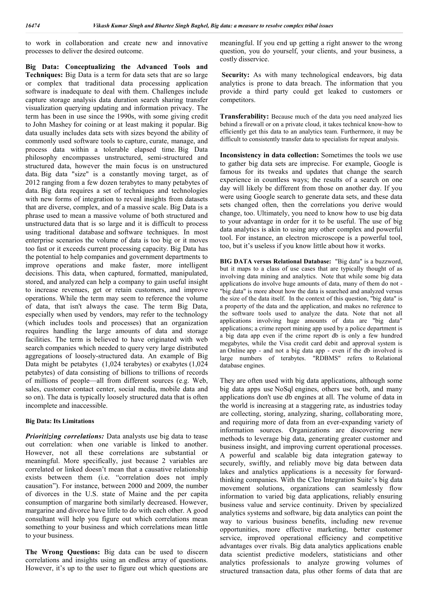to work in collaboration and create new and innovative processes to deliver the desired outcome.

**Big Data: Conceptualizing the Advanced Tools and Techniques:** Big Data is a term for data sets that are so large or complex that traditional data processing application software is inadequate to deal with them. Challenges include capture storage analysis data duration search sharing transfer visualization querying updating and information privacy. The term has been in use since the 1990s, with some giving credit to John Mashey for coining or at least making it popular. Big data usually includes data sets with sizes beyond the ability of commonly used software tools to capture, curate, manage, and process data within a tolerable elapsed time. Big Data philosophy encompasses unstructured, semi-structured and structured data, however the main focus is on unstructured data. Big data "size" is a constantly moving target, as of 2012 ranging from a few dozen terabytes to many petabytes of data. Big data requires a set of techniques and technologies with new forms of integration to reveal insights from datasets that are diverse, complex, and of a massive scale. Big Data is a phrase used to mean a massive volume of both structured and unstructured data that is so large and it is difficult to process using traditional database and software techniques. In most enterprise scenarios the volume of data is too big or it moves too fast or it exceeds current processing capacity. Big Data has the potential to help companies and government departments to improve operations and make faster, more intelligent decisions. This data, when captured, formatted, manipulated, stored, and analyzed can help a company to gain useful insight to increase revenues, get or retain customers, and improve operations. While the term may seem to reference the volume of data, that isn't always the case. The term Big Data, especially when used by vendors, may refer to the technology (which includes tools and processes) that an organization requires handling the large amounts of data and storage facilities. The term is believed to have originated with web search companies which needed to query very large distributed aggregations of loosely-structured data. An example of Big Data might be petabytes (1,024 terabytes) or exabytes (1,024 petabytes) of data consisting of billions to trillions of records of millions of people—all from different sources (e.g. Web, sales, customer contact center, social media, mobile data and so on). The data is typically loosely structured data that is often incomplete and inaccessible.

### **Big Data: Its Limitations**

*Prioritizing correlations:* Data analysts use big data to tease out correlation: when one variable is linked to another. However, not all these correlations are substantial or meaningful. More specifically, just because 2 variables are correlated or linked doesn't mean that a causative relationship exists between them (i.e. "correlation does not imply causation"). For instance, between 2000 and 2009, the number of divorces in the U.S. state of Maine and the per capita consumption of margarine both similarly decreased. However, margarine and divorce have little to do with each other. A good consultant will help you figure out which correlations mean something to your business and which correlations mean little to your business.

**The Wrong Questions:** Big data can be used to discern correlations and insights using an endless array of questions. However, it's up to the user to figure out which questions are meaningful. If you end up getting a right answer to the wrong question, you do yourself, your clients, and your business, a costly disservice.

Security: As with many technological endeavors, big data analytics is prone to data breach. The information that you provide a third party could get leaked to customers or competitors.

**Transferability:** Because much of the data you need analyzed lies behind a firewall or on a private cloud, it takes technical know-how to efficiently get this data to an analytics team. Furthermore, it may be difficult to consistently transfer data to specialists for repeat analysis.

**Inconsistency in data collection:** Sometimes the tools we use to gather big data sets are imprecise. For example, Google is famous for its tweaks and updates that change the search experience in countless ways; the results of a search on one day will likely be different from those on another day. If you were using Google search to generate data sets, and these data sets changed often, then the correlations you derive would change, too. Ultimately, you need to know how to use big data to your advantage in order for it to be useful. The use of big data analytics is akin to using any other complex and powerful tool. For instance, an electron microscope is a powerful tool, too, but it's useless if you know little about how it works.

**BIG DATA versus Relational Database:** "Big data" is a buzzword, but it maps to a class of use cases that are typically thought of as involving data mining and analytics. Note that while some big data applications do involve huge amounts of data, many of them do not - "big data" is more about how the data is searched and analyzed versus the size of the data itself. In the context of this question, "big data" is a property of the data and the application, and makes no reference to the software tools used to analyze the data. Note that not all applications involving huge amounts of data are "big data" applications; a crime report mining app used by a police department is a big data app even if the crime report db is only a few hundred megabytes, while the Visa credit card debit and approval system is an Online app - and not a big data app - even if the db involved is large numbers of terabytes. "RDBMS" refers to Relational database engines.

They are often used with big data applications, although some big data apps use NoSql engines, others use both, and many applications don't use db engines at all. The volume of data in the world is increasing at a staggering rate, as industries today are collecting, storing, analyzing, sharing, collaborating more, and requiring more of data from an ever-expanding variety of information sources. Organizations are discovering new methods to leverage big data, generating greater customer and business insight, and improving current operational processes. A powerful and scalable big data integration gateway to securely, swiftly, and reliably move big data between data lakes and analytics applications is a necessity for forwardthinking companies. With the Cleo Integration Suite's big data movement solutions, organizations can seamlessly flow information to varied big data applications, reliably ensuring business value and service continuity. Driven by specialized analytics systems and software, big data analytics can point the way to various business benefits, including new revenue opportunities, more effective marketing, better customer service, improved operational efficiency and competitive advantages over rivals. Big data analytics applications enable data scientist predictive modelers, statisticians and other analytics professionals to analyze growing volumes of structured transaction data, plus other forms of data that are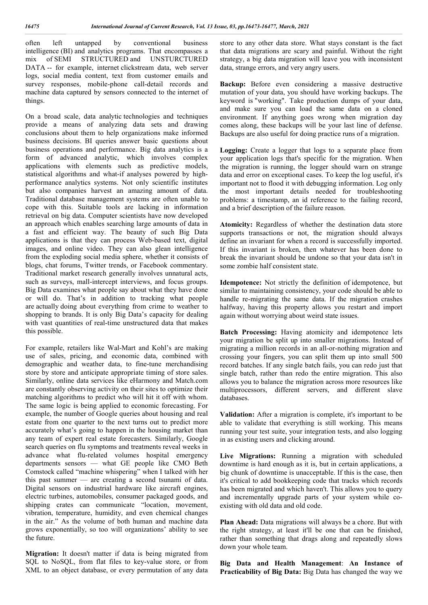often left untapped by conventional business intelligence (BI) and analytics programs. That encompasses a mix of SEMI STRUCTURED and UNSTURCTURED DATA -- for example, internet clickstream data, web server logs, social media content, text from customer emails and survey responses, mobile-phone call-detail records and machine data captured by sensors connected to the internet of things.

On a broad scale, data analytic technologies and techniques provide a means of analyzing data sets and drawing conclusions about them to help organizations make informed business decisions. BI queries answer basic questions about business operations and performance. Big data analytics is a form of advanced analytic, which involves complex applications with elements such as predictive models, statistical algorithms and what-if analyses powered by highperformance analytics systems. Not only scientific institutes but also companies harvest an amazing amount of data. Traditional database management systems are often unable to cope with this. Suitable tools are lacking in information retrieval on big data. Computer scientists have now developed an approach which enables searching large amounts of data in a fast and efficient way. The beauty of such Big Data applications is that they can process Web-based text, digital images, and online video. They can also glean intelligence from the exploding social media sphere, whether it consists of blogs, chat forums, Twitter trends, or Facebook commentary. Traditional market research generally involves unnatural acts, such as surveys, mall-intercept interviews, and focus groups. Big Data examines what people say about what they have done or will do. That's in addition to tracking what people are actually doing about everything from crime to weather to shopping to brands. It is only Big Data's capacity for dealing with vast quantities of real-time unstructured data that makes this possible.

For example, retailers like Wal-Mart and Kohl's are making use of sales, pricing, and economic data, combined with demographic and weather data, to fine-tune merchandising store by store and anticipate appropriate timing of store sales. Similarly, online data services like eHarmony and Match.com are constantly observing activity on their sites to optimize their matching algorithms to predict who will hit it off with whom. The same logic is being applied to economic forecasting. For example, the number of Google queries about housing and real estate from one quarter to the next turns out to predict more accurately what's going to happen in the housing market than any team of expert real estate forecasters. Similarly, Google search queries on flu symptoms and treatments reveal weeks in advance what flu-related volumes hospital emergency departments sensors — what GE people like CMO Beth Comstock called "machine whispering" when I talked with her this past summer — are creating a second tsunami of data. Digital sensors on industrial hardware like aircraft engines, electric turbines, automobiles, consumer packaged goods, and shipping crates can communicate "location, movement, vibration, temperature, humidity, and even chemical changes in the air." As the volume of both human and machine data grows exponentially, so too will organizations' ability to see the future.

**Migration:** It doesn't matter if data is being migrated from SQL to NoSQL, from flat files to key-value store, or from XML to an object database, or every permutation of any data store to any other data store. What stays constant is the fact that data migrations are scary and painful. Without the right strategy, a big data migration will leave you with inconsistent data, strange errors, and very angry users.

**Backup:** Before even considering a massive destructive mutation of your data, you should have working backups. The keyword is "working". Take production dumps of your data, and make sure you can load the same data on a cloned environment. If anything goes wrong when migration day comes along, these backups will be your last line of defense. Backups are also useful for doing practice runs of a migration.

**Logging:** Create a logger that logs to a separate place from your application logs that's specific for the migration. When the migration is running, the logger should warn on strange data and error on exceptional cases. To keep the log useful, it's important not to flood it with debugging information. Log only the most important details needed for troubleshooting problems: a timestamp, an id reference to the failing record, and a brief description of the failure reason.

**Atomicity:** Regardless of whether the destination data store supports transactions or not, the migration should always define an invariant for when a record is successfully imported. If this invariant is broken, then whatever has been done to break the invariant should be undone so that your data isn't in some zombie half consistent state.

**Idempotence:** Not strictly the definition of idempotence, but similar to maintaining consistency, your code should be able to handle re-migrating the same data. If the migration crashes halfway, having this property allows you restart and import again without worrying about weird state issues.

**Batch Processing:** Having atomicity and idempotence lets your migration be split up into smaller migrations. Instead of migrating a million records in an all-or-nothing migration and crossing your fingers, you can split them up into small 500 record batches. If any single batch fails, you can redo just that single batch, rather than redo the entire migration. This also allows you to balance the migration across more resources like multiprocessors, different servers, and different slave databases.

**Validation:** After a migration is complete, it's important to be able to validate that everything is still working. This means running your test suite, your integration tests, and also logging in as existing users and clicking around.

Live Migrations: Running a migration with scheduled downtime is hard enough as it is, but in certain applications, a big chunk of downtime is unacceptable. If this is the case, then it's critical to add bookkeeping code that tracks which records has been migrated and which haven't. This allows you to query and incrementally upgrade parts of your system while coexisting with old data and old code.

Plan Ahead: Data migrations will always be a chore. But with the right strategy, at least it'll be one that can be finished, rather than something that drags along and repeatedly slows down your whole team.

**Big Data and Health Management**: **An Instance of Practicability of Big Data:** Big Data has changed the way we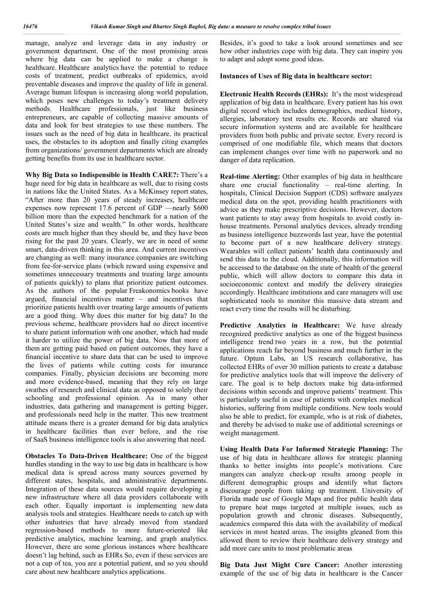manage, analyze and leverage data in any industry or government department. One of the most promising areas where big data can be applied to make a change is healthcare. Healthcare analytics have the potential to reduce costs of treatment, predict outbreaks of epidemics, avoid preventable diseases and improve the quality of life in general. Average human lifespan is increasing along world population, which poses new challenges to today's treatment delivery methods. Healthcare professionals, just like business entrepreneurs, are capable of collecting massive amounts of data and look for best strategies to use these numbers. The issues such as the need of big data in healthcare, its practical uses, the obstacles to its adoption and finally citing examples from organizations/ government departments which are already getting benefits from its use in healthcare sector.

**Why Big Data so Indispensible in Health CARE?:** There's a huge need for big data in healthcare as well, due to rising costs in nations like the United States. As a McKinsey report states, "After more than 20 years of steady increases, healthcare expenses now represent 17.6 percent of GDP —nearly \$600 billion more than the expected benchmark for a nation of the United States's size and wealth." In other words, healthcare costs are much higher than they should be, and they have been rising for the past 20 years. Clearly, we are in need of some smart, data-driven thinking in this area. And current incentives are changing as well: many insurance companies are switching from fee-for-service plans (which reward using expensive and sometimes unnecessary treatments and treating large amounts of patients quickly) to plans that prioritize patient outcomes. As the authors of the popular Freakonomics books have argued, financial incentives matter – and incentives that prioritize patients health over treating large amounts of patients are a good thing. Why does this matter for big data? In the previous scheme, healthcare providers had no direct incentive to share patient information with one another, which had made it harder to utilize the power of big data. Now that more of them are getting paid based on patient outcomes, they have a financial incentive to share data that can be used to improve the lives of patients while cutting costs for insurance companies. Finally, physician decisions are becoming more and more evidence-based, meaning that they rely on large swathes of research and clinical data as opposed to solely their schooling and professional opinion. As in many other industries, data gathering and management is getting bigger, and professionals need help in the matter. This new treatment attitude means there is a greater demand for big data analytics in healthcare facilities than ever before, and the rise of SaaS business intelligence tools is also answering that need.

**Obstacles To Data-Driven Healthcare:** One of the biggest hurdles standing in the way to use big data in healthcare is how medical data is spread across many sources governed by different states, hospitals, and administrative departments. Integration of these data sources would require developing a new infrastructure where all data providers collaborate with each other. Equally important is implementing new data analysis tools and strategies. Healthcare needs to catch up with other industries that have already moved from standard regression-based methods to more future-oriented like predictive analytics, machine learning, and graph analytics. However, there are some glorious instances where healthcare doesn't lag behind, such as EHRs So, even if these services are not a cup of tea, you are a potential patient, and so you should care about new healthcare analytics applications.

Besides, it's good to take a look around sometimes and see how other industries cope with big data. They can inspire you to adapt and adopt some good ideas.

### **Instances of Uses of Big data in healthcare sector:**

**Electronic Health Records (EHRs):** It's the most widespread application of big data in healthcare. Every patient has his own digital record which includes demographics, medical history, allergies, laboratory test results etc. Records are shared via secure information systems and are available for healthcare providers from both public and private sector. Every record is comprised of one modifiable file, which means that doctors can implement changes over time with no paperwork and no danger of data replication.

**Real-time Alerting:** Other examples of big data in healthcare share one crucial functionality – real-time alerting. In hospitals, Clinical Decision Support (CDS) software analyzes medical data on the spot, providing health practitioners with advice as they make prescriptive decisions. However, doctors want patients to stay away from hospitals to avoid costly inhouse treatments. Personal analytics devices, already trending as business intelligence buzzwords last year, have the potential to become part of a new healthcare delivery strategy. Wearables will collect patients' health data continuously and send this data to the cloud. Additionally, this information will be accessed to the database on the state of health of the general public, which will allow doctors to compare this data in socioeconomic context and modify the delivery strategies accordingly. Healthcare institutions and care managers will use sophisticated tools to monitor this massive data stream and react every time the results will be disturbing.

**Predictive Analytics in Healthcare:** We have already recognized predictive analytics as one of the biggest business intelligence trend two years in a row, but the potential applications reach far beyond business and much further in the future. Optum Labs, an US research collaborative, has collected EHRs of over 30 million patients to create a database for predictive analytics tools that will improve the delivery of care. The goal is to help doctors make big data-informed decisions within seconds and improve patients' treatment. This is particularly useful in case of patients with complex medical histories, suffering from multiple conditions. New tools would also be able to predict, for example, who is at risk of diabetes, and thereby be advised to make use of additional screenings or weight management.

**Using Health Data For Informed Strategic Planning:** The use of big data in healthcare allows for strategic planning thanks to better insights into people's motivations. Care mangers can analyze check-up results among people in different demographic groups and identify what factors discourage people from taking up treatment. University of Florida made use of Google Maps and free public health data to prepare heat maps targeted at multiple issues, such as population growth and chronic diseases. Subsequently, academics compared this data with the availability of medical services in most heated areas. The insights gleaned from this allowed them to review their healthcare delivery strategy and add more care units to most problematic areas

**Big Data Just Might Cure Cancer:** Another interesting example of the use of big data in healthcare is the Cancer